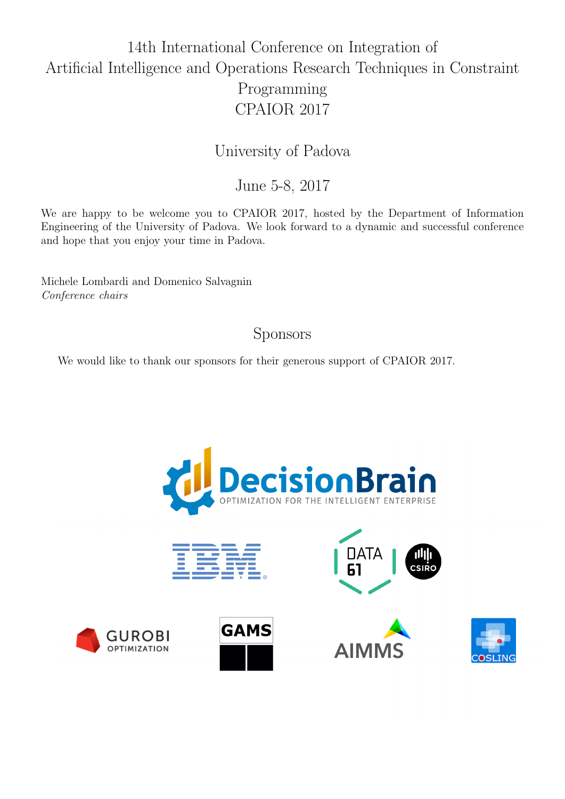## 14th International Conference on Integration of Artificial Intelligence and Operations Research Techniques in Constraint Programming CPAIOR 2017

University of Padova

June 5-8, 2017

We are happy to be welcome you to CPAIOR 2017, hosted by the Department of Information Engineering of the University of Padova. We look forward to a dynamic and successful conference and hope that you enjoy your time in Padova.

Michele Lombardi and Domenico Salvagnin Conference chairs

## Sponsors

We would like to thank our sponsors for their generous support of CPAIOR 2017.







**AIM** 





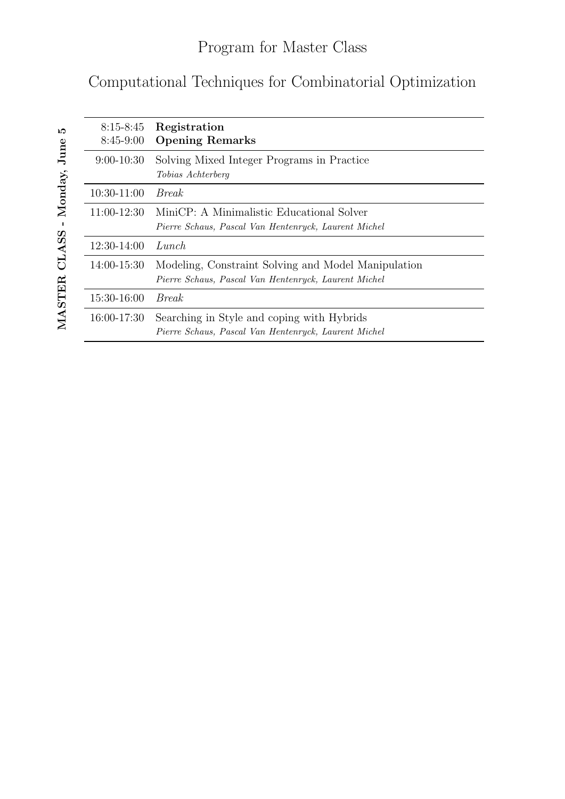## Computational Techniques for Combinatorial Optimization

| $8:15 - 8:45$<br>$8:45-9:00$ | Registration<br><b>Opening Remarks</b>                                                                      |
|------------------------------|-------------------------------------------------------------------------------------------------------------|
| $9:00-10:30$                 | Solving Mixed Integer Programs in Practice<br>Tobias Achterberg                                             |
| 10:30-11:00                  | <i>Break</i>                                                                                                |
| 11:00-12:30                  | MiniCP: A Minimalistic Educational Solver<br>Pierre Schaus, Pascal Van Hentenryck, Laurent Michel           |
| 12:30-14:00                  | Lunch                                                                                                       |
| 14:00-15:30                  | Modeling, Constraint Solving and Model Manipulation<br>Pierre Schaus, Pascal Van Hentenryck, Laurent Michel |
| 15:30-16:00                  | <i>Break</i>                                                                                                |
| 16:00-17:30                  | Searching in Style and coping with Hybrids<br>Pierre Schaus, Pascal Van Hentenryck, Laurent Michel          |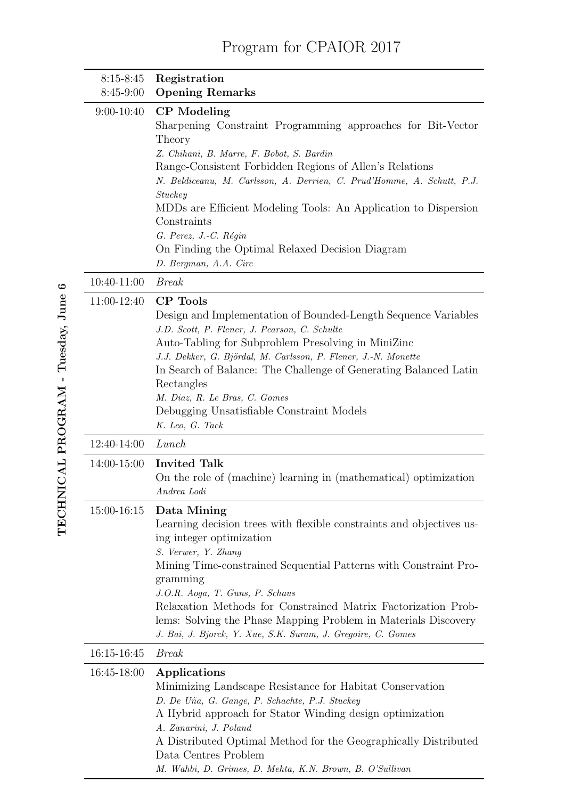## Program for CPAIOR 2017

| $8:15 - 8:45$<br>8:45-9:00 | Registration<br><b>Opening Remarks</b>                                                                                                                                                                                                                                                                                                                                                                                                                                          |
|----------------------------|---------------------------------------------------------------------------------------------------------------------------------------------------------------------------------------------------------------------------------------------------------------------------------------------------------------------------------------------------------------------------------------------------------------------------------------------------------------------------------|
| $9:00-10:40$               | CP Modeling<br>Sharpening Constraint Programming approaches for Bit-Vector<br>Theory<br>Z. Chihani, B. Marre, F. Bobot, S. Bardin<br>Range-Consistent Forbidden Regions of Allen's Relations<br>N. Beldiceanu, M. Carlsson, A. Derrien, C. Prud'Homme, A. Schutt, P.J.<br><b>Stuckey</b><br>MDDs are Efficient Modeling Tools: An Application to Dispersion<br>Constraints<br>G. Perez, J.-C. Régin<br>On Finding the Optimal Relaxed Decision Diagram<br>D. Bergman, A.A. Cire |
| 10:40-11:00                | <b>Break</b>                                                                                                                                                                                                                                                                                                                                                                                                                                                                    |
| 11:00-12:40                | <b>CP</b> Tools<br>Design and Implementation of Bounded-Length Sequence Variables<br>J.D. Scott, P. Flener, J. Pearson, C. Schulte<br>Auto-Tabling for Subproblem Presolving in MiniZinc<br>J.J. Dekker, G. Björdal, M. Carlsson, P. Flener, J.-N. Monette<br>In Search of Balance: The Challenge of Generating Balanced Latin<br>Rectangles<br>M. Diaz, R. Le Bras, C. Gomes<br>Debugging Unsatisfiable Constraint Models<br>K. Leo, G. Tack                                   |
| 12:40-14:00                | Lunch                                                                                                                                                                                                                                                                                                                                                                                                                                                                           |
| 14:00-15:00                | <b>Invited Talk</b><br>On the role of (machine) learning in (mathematical) optimization<br>Andrea Lodi                                                                                                                                                                                                                                                                                                                                                                          |
| 15:00-16:15                | Data Mining<br>Learning decision trees with flexible constraints and objectives us-<br>ing integer optimization<br>S. Verwer, Y. Zhang<br>Mining Time-constrained Sequential Patterns with Constraint Pro-<br>gramming<br>J.O.R. Aoga, T. Guns, P. Schaus<br>Relaxation Methods for Constrained Matrix Factorization Prob-<br>lems: Solving the Phase Mapping Problem in Materials Discovery<br>J. Bai, J. Bjorck, Y. Xue, S.K. Suram, J. Gregoire, C. Gomes                    |
| 16:15-16:45                | <b>Break</b>                                                                                                                                                                                                                                                                                                                                                                                                                                                                    |
| 16:45-18:00                | Applications<br>Minimizing Landscape Resistance for Habitat Conservation<br>D. De Uña, G. Gange, P. Schachte, P.J. Stuckey<br>A Hybrid approach for Stator Winding design optimization<br>A. Zanarini, J. Poland<br>A Distributed Optimal Method for the Geographically Distributed<br>Data Centres Problem<br>M. Wahbi, D. Grimes, D. Mehta, K.N. Brown, B. O'Sullivan                                                                                                         |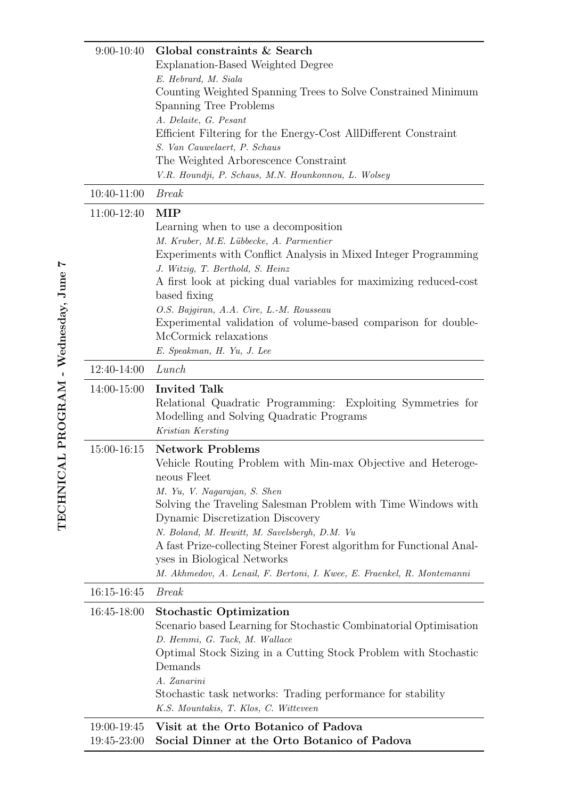| $9:00-10:40$               | Global constraints & Search<br>Explanation-Based Weighted Degree<br>E. Hebrard, M. Siala<br>Counting Weighted Spanning Trees to Solve Constrained Minimum<br>Spanning Tree Problems<br>A. Delaite, G. Pesant<br>Efficient Filtering for the Energy-Cost AllDifferent Constraint<br>S. Van Cauwelaert, P. Schaus<br>The Weighted Arborescence Constraint<br>V.R. Houndji, P. Schaus, M.N. Hounkonnou, L. Wolsey                                                                  |
|----------------------------|---------------------------------------------------------------------------------------------------------------------------------------------------------------------------------------------------------------------------------------------------------------------------------------------------------------------------------------------------------------------------------------------------------------------------------------------------------------------------------|
| 10:40-11:00                | <b>Break</b>                                                                                                                                                                                                                                                                                                                                                                                                                                                                    |
| 11:00-12:40                | MIP<br>Learning when to use a decomposition<br>M. Kruber, M.E. Lübbecke, A. Parmentier<br>Experiments with Conflict Analysis in Mixed Integer Programming<br>J. Witzig, T. Berthold, S. Heinz<br>A first look at picking dual variables for maximizing reduced-cost<br>based fixing<br>O.S. Bajgiran, A.A. Cire, L.-M. Rousseau<br>Experimental validation of volume-based comparison for double-<br>McCormick relaxations<br>E. Speakman, H. Yu, J. Lee                        |
| 12:40-14:00                | Lunch                                                                                                                                                                                                                                                                                                                                                                                                                                                                           |
| 14:00-15:00                | <b>Invited Talk</b><br>Relational Quadratic Programming: Exploiting Symmetries for<br>Modelling and Solving Quadratic Programs<br>Kristian Kersting                                                                                                                                                                                                                                                                                                                             |
| 15:00-16:15                | <b>Network Problems</b><br>Vehicle Routing Problem with Min-max Objective and Heteroge-<br>neous Fleet<br>M. Yu, V. Nagarajan, S. Shen<br>Solving the Traveling Salesman Problem with Time Windows with<br>Dynamic Discretization Discovery<br>N. Boland, M. Hewitt, M. Savelsbergh, D.M. Vu<br>A fast Prize-collecting Steiner Forest algorithm for Functional Anal-<br>yses in Biological Networks<br>M. Akhmedov, A. Lenail, F. Bertoni, I. Kwee, E. Fraenkel, R. Montemanni |
| 16:15-16:45                | <b>Break</b>                                                                                                                                                                                                                                                                                                                                                                                                                                                                    |
| 16:45-18:00                | <b>Stochastic Optimization</b><br>Scenario based Learning for Stochastic Combinatorial Optimisation<br>D. Hemmi, G. Tack, M. Wallace<br>Optimal Stock Sizing in a Cutting Stock Problem with Stochastic<br>Demands<br>A. Zanarini<br>Stochastic task networks: Trading performance for stability<br>K.S. Mountakis, T. Klos, C. Witteveen                                                                                                                                       |
| 19:00-19:45<br>19:45-23:00 | Visit at the Orto Botanico of Padova<br>Social Dinner at the Orto Botanico of Padova                                                                                                                                                                                                                                                                                                                                                                                            |